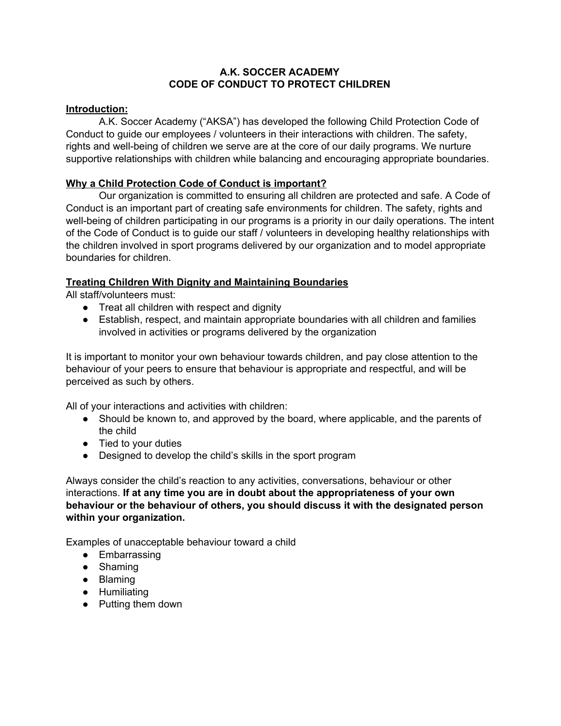### **A.K. SOCCER ACADEMY CODE OF CONDUCT TO PROTECT CHILDREN**

### **Introduction:**

A.K. Soccer Academy ("AKSA") has developed the following Child Protection Code of Conduct to guide our employees / volunteers in their interactions with children. The safety, rights and well-being of children we serve are at the core of our daily programs. We nurture supportive relationships with children while balancing and encouraging appropriate boundaries.

# **Why a Child Protection Code of Conduct is important?**

Our organization is committed to ensuring all children are protected and safe. A Code of Conduct is an important part of creating safe environments for children. The safety, rights and well-being of children participating in our programs is a priority in our daily operations. The intent of the Code of Conduct is to guide our staff / volunteers in developing healthy relationships with the children involved in sport programs delivered by our organization and to model appropriate boundaries for children.

# **Treating Children With Dignity and Maintaining Boundaries**

All staff/volunteers must:

- Treat all children with respect and dignity
- Establish, respect, and maintain appropriate boundaries with all children and families involved in activities or programs delivered by the organization

It is important to monitor your own behaviour towards children, and pay close attention to the behaviour of your peers to ensure that behaviour is appropriate and respectful, and will be perceived as such by others.

All of your interactions and activities with children:

- Should be known to, and approved by the board, where applicable, and the parents of the child
- Tied to your duties
- Designed to develop the child's skills in the sport program

Always consider the child's reaction to any activities, conversations, behaviour or other interactions. **If at any time you are in doubt about the appropriateness of your own behaviour or the behaviour of others, you should discuss it with the designated person within your organization.**

Examples of unacceptable behaviour toward a child

- Embarrassing
- Shaming
- Blaming
- Humiliating
- Putting them down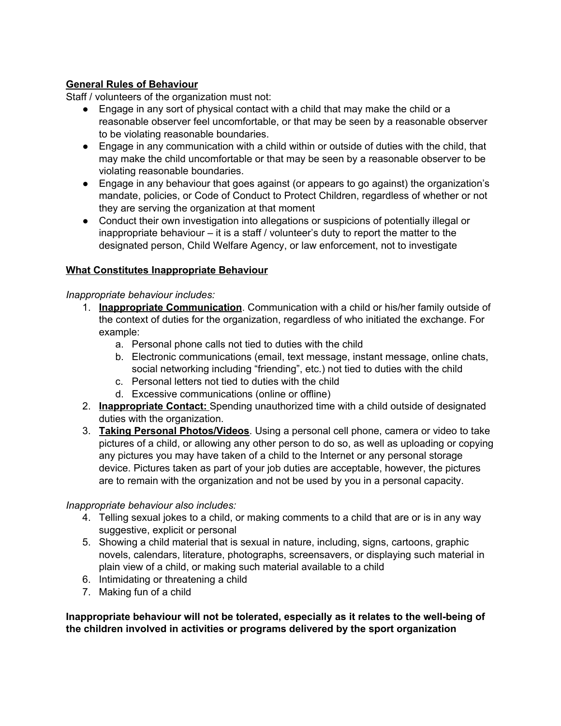## **General Rules of Behaviour**

Staff / volunteers of the organization must not:

- Engage in any sort of physical contact with a child that may make the child or a reasonable observer feel uncomfortable, or that may be seen by a reasonable observer to be violating reasonable boundaries.
- Engage in any communication with a child within or outside of duties with the child, that may make the child uncomfortable or that may be seen by a reasonable observer to be violating reasonable boundaries.
- Engage in any behaviour that goes against (or appears to go against) the organization's mandate, policies, or Code of Conduct to Protect Children, regardless of whether or not they are serving the organization at that moment
- Conduct their own investigation into allegations or suspicions of potentially illegal or inappropriate behaviour – it is a staff / volunteer's duty to report the matter to the designated person, Child Welfare Agency, or law enforcement, not to investigate

## **What Constitutes Inappropriate Behaviour**

#### *Inappropriate behaviour includes:*

- 1. **Inappropriate Communication**. Communication with a child or his/her family outside of the context of duties for the organization, regardless of who initiated the exchange. For example:
	- a. Personal phone calls not tied to duties with the child
	- b. Electronic communications (email, text message, instant message, online chats, social networking including "friending", etc.) not tied to duties with the child
	- c. Personal letters not tied to duties with the child
	- d. Excessive communications (online or offline)
- 2. **Inappropriate Contact:** Spending unauthorized time with a child outside of designated duties with the organization.
- 3. **Taking Personal Photos/Videos**. Using a personal cell phone, camera or video to take pictures of a child, or allowing any other person to do so, as well as uploading or copying any pictures you may have taken of a child to the Internet or any personal storage device. Pictures taken as part of your job duties are acceptable, however, the pictures are to remain with the organization and not be used by you in a personal capacity.

#### *Inappropriate behaviour also includes:*

- 4. Telling sexual jokes to a child, or making comments to a child that are or is in any way suggestive, explicit or personal
- 5. Showing a child material that is sexual in nature, including, signs, cartoons, graphic novels, calendars, literature, photographs, screensavers, or displaying such material in plain view of a child, or making such material available to a child
- 6. Intimidating or threatening a child
- 7. Making fun of a child

**Inappropriate behaviour will not be tolerated, especially as it relates to the well-being of the children involved in activities or programs delivered by the sport organization**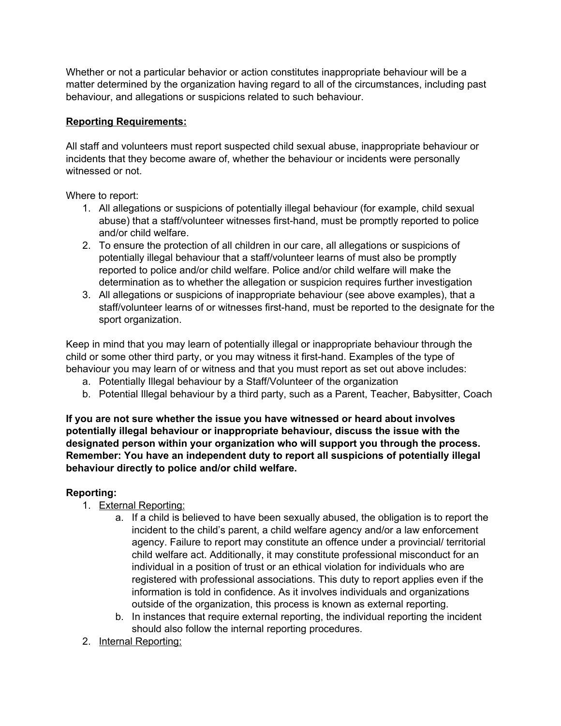Whether or not a particular behavior or action constitutes inappropriate behaviour will be a matter determined by the organization having regard to all of the circumstances, including past behaviour, and allegations or suspicions related to such behaviour.

## **Reporting Requirements:**

All staff and volunteers must report suspected child sexual abuse, inappropriate behaviour or incidents that they become aware of, whether the behaviour or incidents were personally witnessed or not.

Where to report:

- 1. All allegations or suspicions of potentially illegal behaviour (for example, child sexual abuse) that a staff/volunteer witnesses first-hand, must be promptly reported to police and/or child welfare.
- 2. To ensure the protection of all children in our care, all allegations or suspicions of potentially illegal behaviour that a staff/volunteer learns of must also be promptly reported to police and/or child welfare. Police and/or child welfare will make the determination as to whether the allegation or suspicion requires further investigation
- 3. All allegations or suspicions of inappropriate behaviour (see above examples), that a staff/volunteer learns of or witnesses first-hand, must be reported to the designate for the sport organization.

Keep in mind that you may learn of potentially illegal or inappropriate behaviour through the child or some other third party, or you may witness it first-hand. Examples of the type of behaviour you may learn of or witness and that you must report as set out above includes:

- a. Potentially Illegal behaviour by a Staff/Volunteer of the organization
- b. Potential Illegal behaviour by a third party, such as a Parent, Teacher, Babysitter, Coach

**If you are not sure whether the issue you have witnessed or heard about involves potentially illegal behaviour or inappropriate behaviour, discuss the issue with the designated person within your organization who will support you through the process. Remember: You have an independent duty to report all suspicions of potentially illegal behaviour directly to police and/or child welfare.**

# **Reporting:**

- 1. External Reporting:
	- a. If a child is believed to have been sexually abused, the obligation is to report the incident to the child's parent, a child welfare agency and/or a law enforcement agency. Failure to report may constitute an offence under a provincial/ territorial child welfare act. Additionally, it may constitute professional misconduct for an individual in a position of trust or an ethical violation for individuals who are registered with professional associations. This duty to report applies even if the information is told in confidence. As it involves individuals and organizations outside of the organization, this process is known as external reporting.
	- b. In instances that require external reporting, the individual reporting the incident should also follow the internal reporting procedures.
- 2. Internal Reporting: